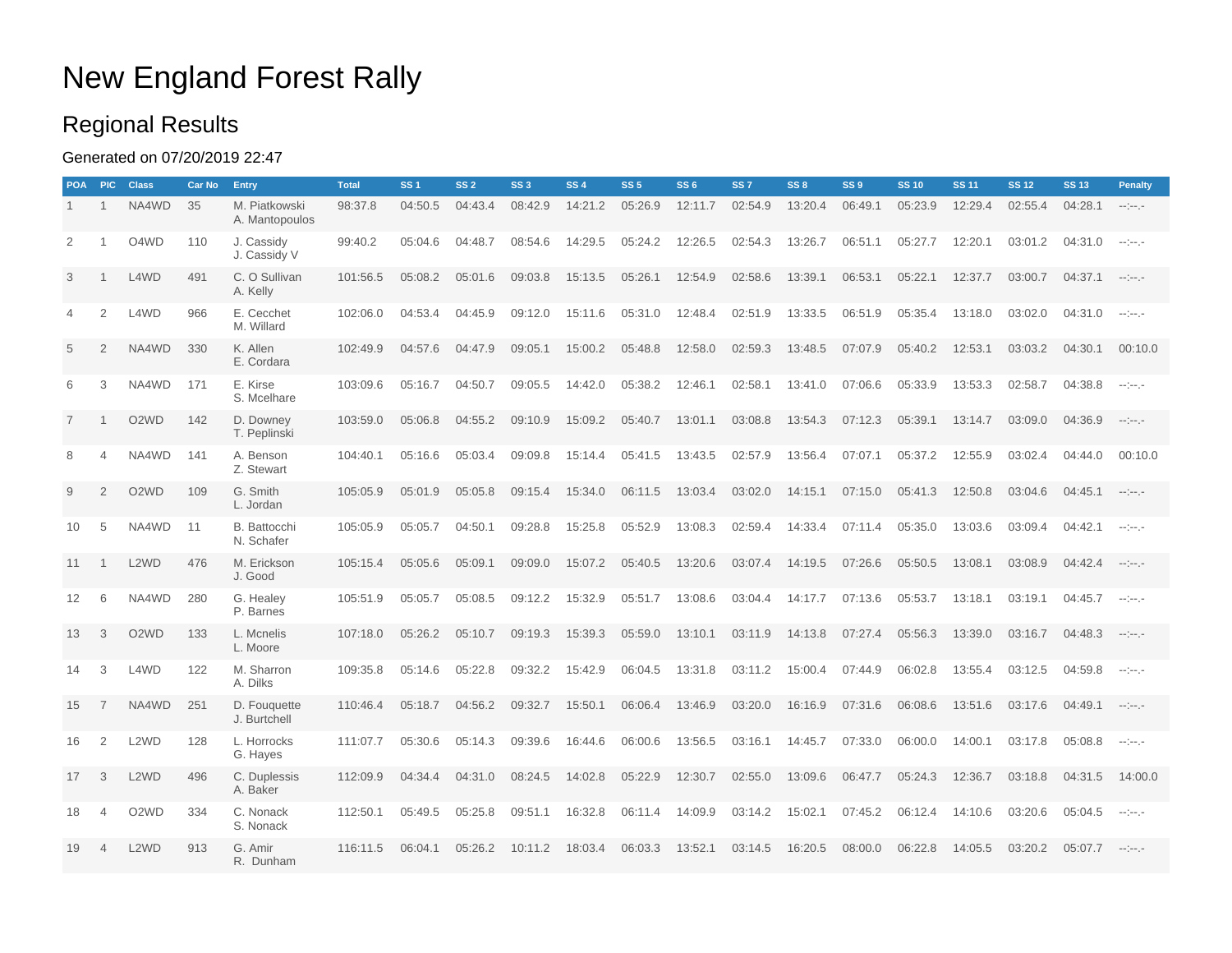## New England Forest Rally

### Regional Results

### Generated on 07/20/2019 22:47

| <b>POA</b>     | <b>PIC</b>     | <b>Class</b>                  | <b>Car No</b> | Entry                           | <b>Total</b> | SS <sub>1</sub> | SS <sub>2</sub> | SS <sub>3</sub> | SS <sub>4</sub> | SS <sub>5</sub> | <b>SS6</b> | SS <sub>7</sub> | SS <sub>8</sub> | SS <sub>9</sub> | <b>SS 10</b> | <b>SS 11</b> | <b>SS 12</b> | <b>SS 13</b>      | <b>Penalty</b>       |
|----------------|----------------|-------------------------------|---------------|---------------------------------|--------------|-----------------|-----------------|-----------------|-----------------|-----------------|------------|-----------------|-----------------|-----------------|--------------|--------------|--------------|-------------------|----------------------|
| $\mathbf{1}$   | $\mathbf{1}$   | NA4WD                         | 35            | M. Piatkowski<br>A. Mantopoulos | 98:37.8      | 04:50.5         | 04:43.4         | 08:42.9         | 14:21.2         | 05:26.9         | 12:11.7    | 02:54.9         | 13:20.4         | 06:49.1         | 05:23.9      | 12:29.4      | 02:55.4      | 04:28.1           | $-100 - 100$         |
| 2              |                | O4WD                          | 110           | J. Cassidy<br>J. Cassidy V      | 99:40.2      | 05:04.6         | 04:48.7         | 08:54.6         | 14:29.5         | 05:24.2         | 12:26.5    | 02:54.3         | 13:26.7         | 06:51.1         | 05:27.7      | 12:20.1      | 03:01.2      | 04:31.0           | $-1 - 1 - 1 - 1$     |
| 3              | -1             | L4WD                          | 491           | C. O Sullivan<br>A. Kelly       | 101:56.5     | 05:08.2         | 05:01.6         | 09:03.8         | 15:13.5         | 05:26.1         | 12:54.9    | 02:58.6         | 13:39.1         | 06:53.1         | 05:22.1      | 12:37.7      | 03:00.7      | 04:37.1           | $-1 - 1 - 1 - 1$     |
| $\overline{4}$ | $\overline{2}$ | L4WD                          | 966           | E. Cecchet<br>M. Willard        | 102:06.0     | 04:53.4         | 04:45.9         | 09:12.0         | 15:11.6         | 05:31.0         | 12:48.4    | 02:51.9         | 13:33.5         | 06:51.9         | 05:35.4      | 13:18.0      | 03:02.0      | 04:31.0           | $-100 - 100$         |
| 5              | 2              | NA4WD                         | 330           | K. Allen<br>E. Cordara          | 102:49.9     | 04:57.6         | 04:47.9         | 09:05.1         | 15:00.2         | 05:48.8         | 12:58.0    | 02:59.3         | 13:48.5         | 07:07.9         | 05:40.2      | 12:53.1      | 03:03.2      | 04:30.1           | 00:10.0              |
| 6              | 3              | NA4WD                         | 171           | E. Kirse<br>S. Mcelhare         | 103:09.6     | 05:16.7         | 04:50.7         | 09:05.5         | 14:42.0         | 05:38.2         | 12:46.1    | 02:58.1         | 13:41.0         | 07:06.6         | 05:33.9      | 13:53.3      | 02:58.7      | 04:38.8           | $-1 - 1 - 1 - 1 = 0$ |
| $\overline{7}$ |                | O <sub>2</sub> W <sub>D</sub> | 142           | D. Downey<br>T. Peplinski       | 103:59.0     | 05:06.8         | 04:55.2         | 09:10.9         | 15:09.2         | 05:40.7         | 13:01.1    | 03:08.8         | 13:54.3         | 07:12.3         | 05:39.1      | 13:14.7      | 03:09.0      | 04:36.9           | $-1 - 1 - 1 - 1$     |
| 8              | $\overline{4}$ | NA4WD                         | 141           | A. Benson<br>Z. Stewart         | 104:40.1     | 05:16.6         | 05:03.4         | 09:09.8         | 15:14.4         | 05:41.5         | 13:43.5    | 02:57.9         | 13:56.4         | 07:07.1         | 05:37.2      | 12:55.9      | 03:02.4      | 04:44.0           | 00:10.0              |
| 9              | 2              | O <sub>2</sub> W <sub>D</sub> | 109           | G. Smith<br>L. Jordan           | 105:05.9     | 05:01.9         | 05:05.8         | 09:15.4         | 15:34.0         | 06:11.5         | 13:03.4    | 03:02.0         | 14:15.1         | 07:15.0         | 05:41.3      | 12:50.8      | 03:04.6      | 04:45.1           | $-1 - 1 - 1 - 1$     |
| 10             | 5              | NA4WD                         | 11            | B. Battocchi<br>N. Schafer      | 105:05.9     | 05:05.7         | 04:50.1         | 09:28.8         | 15:25.8         | 05:52.9         | 13:08.3    | 02:59.4         | 14:33.4         | 07:11.4         | 05:35.0      | 13:03.6      | 03:09.4      | 04:42.1           | $-1 - 1 - 1 - 1$     |
| 11             | $\overline{1}$ | L <sub>2</sub> W <sub>D</sub> | 476           | M. Erickson<br>J. Good          | 105:15.4     | 05:05.6         | 05:09.1         | 09:09.0         | 15:07.2         | 05:40.5         | 13:20.6    | 03:07.4         | 14:19.5         | 07:26.6         | 05:50.5      | 13:08.1      | 03:08.9      | 04:42.4           | $\sim$ 100 $\sim$    |
| 12             | 6              | NA4WD                         | 280           | G. Healey<br>P. Barnes          | 105:51.9     | 05:05.7         | 05:08.5         | 09:12.2         | 15:32.9         | 05:51.7         | 13:08.6    | 03:04.4         | 14:17.7         | 07:13.6         | 05:53.7      | 13:18.1      | 03:19.1      | $04:45.7$ --:--.- |                      |
| 13             | 3              | O <sub>2</sub> W <sub>D</sub> | 133           | L. Mcnelis<br>L. Moore          | 107:18.0     | 05:26.2         | 05:10.7         | 09:19.3         | 15:39.3         | 05:59.0         | 13:10.1    | 03:11.9         | 14:13.8         | 07:27.4         | 05:56.3      | 13:39.0      | 03:16.7      | 04:48.3           | and the pro-         |
| 14             | 3              | L4WD                          | 122           | M. Sharron<br>A. Dilks          | 109:35.8     | 05:14.6         | 05:22.8         | 09:32.2         | 15:42.9         | 06:04.5         | 13:31.8    | 03:11.2         | 15:00.4         | 07:44.9         | 06:02.8      | 13:55.4      | 03:12.5      | 04:59.8           | $-100 - 100$         |
| 15             | $\overline{7}$ | NA4WD                         | 251           | D. Fouguette<br>J. Burtchell    | 110:46.4     | 05:18.7         | 04:56.2         | 09:32.7         | 15:50.1         | 06:06.4         | 13:46.9    | 03:20.0         | 16:16.9         | 07:31.6         | 06:08.6      | 13:51.6      | 03:17.6      | 04:49.1           | $-1 - 1 - 1 - 1$     |
| 16             | 2              | L <sub>2</sub> W <sub>D</sub> | 128           | L. Horrocks<br>G. Hayes         | 111:07.7     | 05:30.6         | 05:14.3         | 09:39.6         | 16:44.6         | 06:00.6         | 13:56.5    | 03:16.1         | 14:45.7         | 07:33.0         | 06:00.0      | 14:00.1      | 03:17.8      | 05:08.8           | $-100 - 100$         |
| 17             | 3              | L <sub>2</sub> W <sub>D</sub> | 496           | C. Duplessis<br>A. Baker        | 112:09.9     | 04:34.4         | 04:31.0         | 08:24.5         | 14:02.8         | 05:22.9         | 12:30.7    | 02:55.0         | 13:09.6         | 06:47.7         | 05:24.3      | 12:36.7      | 03:18.8      | 04:31.5           | 14:00.0              |
| 18             | $\overline{4}$ | O <sub>2</sub> W <sub>D</sub> | 334           | C. Nonack<br>S. Nonack          | 112:50.1     | 05:49.5         | 05:25.8         | 09:51.1         | 16:32.8         | 06:11.4         | 14:09.9    | 03:14.2         | 15:02.1         | 07:45.2         | 06:12.4      | 14:10.6      | 03:20.6      | 05:04.5           | $-200 - 100$         |
| 19             | $\overline{4}$ | L <sub>2</sub> W <sub>D</sub> | 913           | G. Amir<br>R. Dunham            | 116:11.5     | 06:04.1         | 05:26.2         | 10:11.2         | 18:03.4         | 06:03.3         | 13:52.1    | 03:14.5         | 16:20.5         | 08:00.0         | 06:22.8      | 14:05.5      | 03:20.2      | 05:07.7           | and the project      |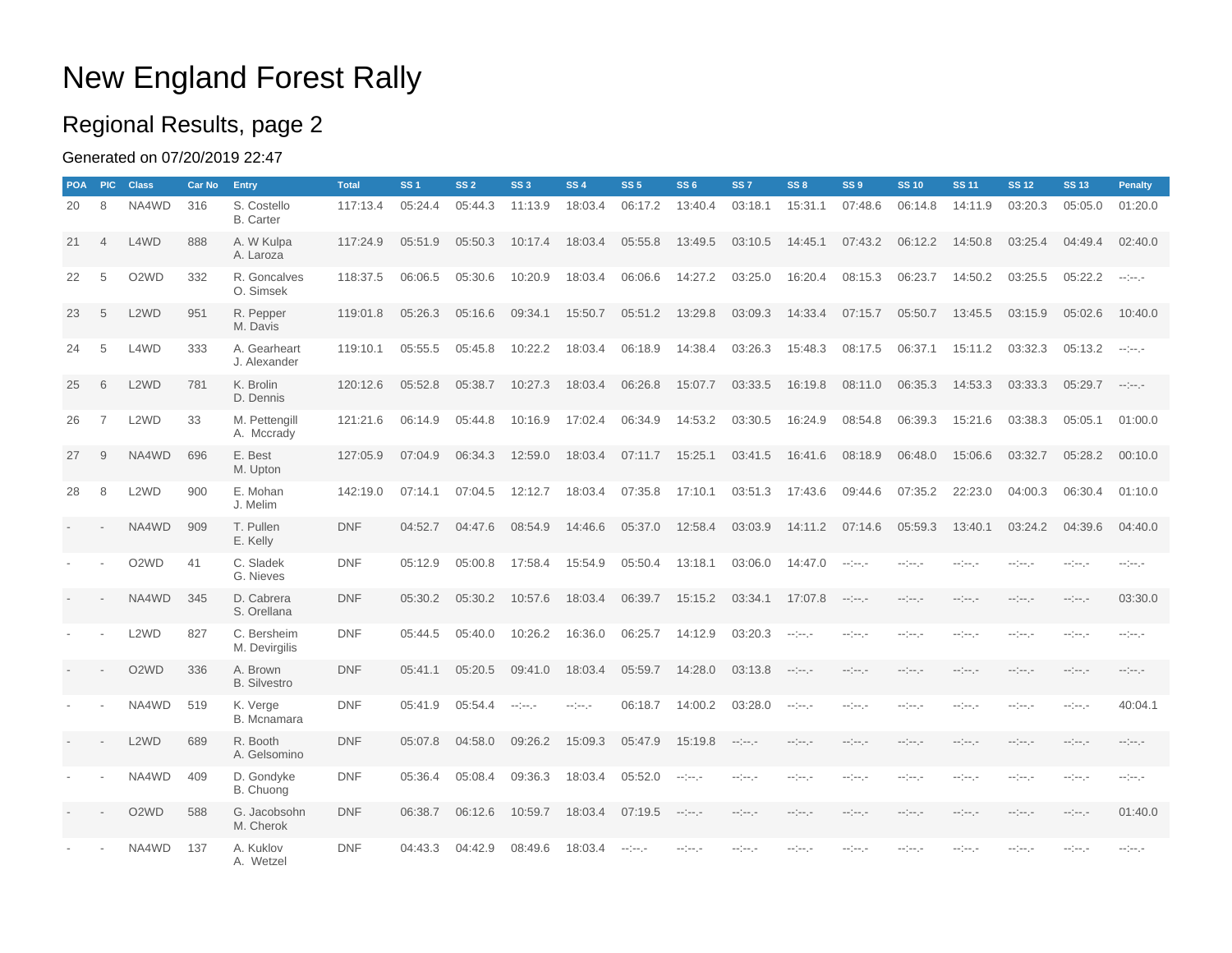## New England Forest Rally

### Regional Results, page 2

### Generated on 07/20/2019 22:47

| <b>POA</b> | <b>PIC</b>               | <b>Class</b>                  | <b>Car No</b> | Entry                           | <b>Total</b> | SS <sub>1</sub> | SS <sub>2</sub> | SS <sub>3</sub> | SS <sub>4</sub> | SS <sub>5</sub> | SS6          | SS <sub>7</sub>  | SS8                      | SS <sub>9</sub>      | <b>SS 10</b>         | <b>SS 11</b>         | <b>SS 12</b>         | <b>SS 13</b>         | <b>Penalty</b>   |
|------------|--------------------------|-------------------------------|---------------|---------------------------------|--------------|-----------------|-----------------|-----------------|-----------------|-----------------|--------------|------------------|--------------------------|----------------------|----------------------|----------------------|----------------------|----------------------|------------------|
| 20         | 8                        | NA4WD                         | 316           | S. Costello<br><b>B.</b> Carter | 117:13.4     | 05:24.4         | 05:44.3         | 11:13.9         | 18:03.4         | 06:17.2         | 13:40.4      | 03:18.1          | 15:31.1                  | 07:48.6              | 06:14.8              | 14:11.9              | 03:20.3              | 05:05.0              | 01:20.0          |
| 21         | $\overline{4}$           | L4WD                          | 888           | A. W Kulpa<br>A. Laroza         | 117:24.9     | 05:51.9         | 05:50.3         | 10:17.4         | 18:03.4         | 05:55.8         | 13:49.5      | 03:10.5          | 14:45.1                  | 07:43.2              | 06:12.2              | 14:50.8              | 03:25.4              | 04:49.4              | 02:40.0          |
| 22         | 5                        | O <sub>2</sub> W <sub>D</sub> | 332           | R. Goncalves<br>O. Simsek       | 118:37.5     | 06:06.5         | 05:30.6         | 10:20.9         | 18:03.4         | 06:06.6         | 14:27.2      | 03:25.0          | 16:20.4                  | 08:15.3              | 06:23.7              | 14:50.2              | 03:25.5              | 05:22.2              | $-100 - 100$     |
| 23         | 5                        | L <sub>2</sub> W <sub>D</sub> | 951           | R. Pepper<br>M. Davis           | 119:01.8     | 05:26.3         | 05:16.6         | 09:34.1         | 15:50.7         | 05:51.2         | 13:29.8      | 03:09.3          | 14:33.4                  | 07:15.7              | 05:50.7              | 13:45.5              | 03:15.9              | 05:02.6              | 10:40.0          |
| 24         | 5                        | L4WD                          | 333           | A. Gearheart<br>J. Alexander    | 119:10.1     | 05:55.5         | 05:45.8         | 10:22.2         | 18:03.4         | 06:18.9         | 14:38.4      | 03:26.3          | 15:48.3                  | 08:17.5              | 06:37.1              | 15:11.2              | 03:32.3              | 05:13.2              | $-100 - 100$     |
| 25         | 6                        | L <sub>2</sub> W <sub>D</sub> | 781           | K. Brolin<br>D. Dennis          | 120:12.6     | 05:52.8         | 05:38.7         | 10:27.3         | 18:03.4         | 06:26.8         | 15:07.7      | 03:33.5          | 16:19.8                  | 08:11.0              | 06:35.3              | 14:53.3              | 03:33.3              | $05:29.7$ --:--.-    |                  |
| 26         | $\overline{7}$           | L <sub>2</sub> W <sub>D</sub> | 33            | M. Pettengill<br>A. Mccrady     | 121:21.6     | 06:14.9         | 05:44.8         | 10:16.9         | 17:02.4         | 06:34.9         | 14:53.2      | 03:30.5          | 16:24.9                  | 08:54.8              | 06:39.3              | 15:21.6              | 03:38.3              | 05:05.1              | 01:00.0          |
| 27         | 9                        | NA4WD                         | 696           | E. Best<br>M. Upton             | 127:05.9     | 07:04.9         | 06:34.3         | 12:59.0         | 18:03.4         | 07:11.7         | 15:25.1      | 03:41.5          | 16:41.6                  | 08:18.9              | 06:48.0              | 15:06.6              | 03:32.7              | 05:28.2              | 00:10.0          |
| 28         | 8                        | L <sub>2</sub> W <sub>D</sub> | 900           | E. Mohan<br>J. Melim            | 142:19.0     | 07:14.1         | 07:04.5         | 12:12.7         | 18:03.4         | 07:35.8         | 17:10.1      | 03:51.3          | 17:43.6                  | 09:44.6              | 07:35.2              | 22:23.0              | 04:00.3              | 06:30.4              | 01:10.0          |
|            |                          | NA4WD                         | 909           | T. Pullen<br>E. Kelly           | <b>DNF</b>   | 04:52.7         | 04:47.6         | 08:54.9         | 14:46.6         | 05:37.0         | 12:58.4      | 03:03.9          | 14:11.2                  | 07:14.6              | 05:59.3              | 13:40.1              | 03:24.2              | 04:39.6              | 04:40.0          |
|            |                          | O <sub>2</sub> W <sub>D</sub> | 41            | C. Sladek<br>G. Nieves          | <b>DNF</b>   | 05:12.9         | 05:00.8         | 17:58.4         | 15:54.9         | 05:50.4         | 13:18.1      | 03:06.0          | 14:47.0                  | $-100 - 100$         | --:---               | -----                | -----                | -----                | -----            |
|            | $\overline{\phantom{a}}$ | NA4WD                         | 345           | D. Cabrera<br>S. Orellana       | <b>DNF</b>   | 05:30.2         | 05:30.2         | 10:57.6         | 18:03.4         | 06:39.7         | 15:15.2      | 03:34.1          | 17:07.8                  | $-100 - 100$         | $-2 - 1 - 1 - 1 = 0$ | -----                | -----                | $-1 - 1 - 1 - 1 = 0$ | 03:30.0          |
|            |                          | L <sub>2</sub> W <sub>D</sub> | 827           | C. Bersheim<br>M. Devirgilis    | <b>DNF</b>   | 05:44.5         | 05:40.0         | 10:26.2         | 16:36.0         | 06:25.7         | 14:12.9      | 03:20.3          | $-1 - 1 - 1 - 1$         | -----                | $-2 - 2 - 2$         | -----                | -----                | مرميزمة              | $-100 - 100$     |
|            |                          | O <sub>2</sub> W <sub>D</sub> | 336           | A. Brown<br><b>B.</b> Silvestro | <b>DNF</b>   | 05:41.1         | 05:20.5         | 09:41.0         | 18:03.4         | 05:59.7         | 14:28.0      | 03:13.8          | $-100 - 100$             | $-100 - 100$         | -----                | $-1 - 1 - 1 - 1 = 0$ | $-1 - 1 - 1 - 1 = 0$ | -----                | $-100 - 100$     |
|            |                          | NA4WD                         | 519           | K. Verge<br><b>B.</b> Mcnamara  | <b>DNF</b>   | 05:41.9         | 05:54.4         | -----           | -----           | 06:18.7         | 14:00.2      | 03:28.0          | $\sim$ 1 $\sim$ 1 $\sim$ | $-100 - 100$         | $-1 - 1 - 1 - 1 = 0$ | -----                | --1---               | -----                | 40:04.1          |
|            |                          | L <sub>2</sub> W <sub>D</sub> | 689           | R. Booth<br>A. Gelsomino        | <b>DNF</b>   | 05:07.8         | 04:58.0         | 09:26.2         | 15:09.3         | 05:47.9         | 15:19.8      | $-100 - 100$     | $-1 - 1 - 1 - 1$         | $-100 - 100$         | $-1 - 1 - 1 - 1 = 0$ | -----                | $-1 - 1 - 1 - 1 = 0$ | $-1 - 1 - 1 - 1$     | $-1 - 1 - 1 - 1$ |
|            |                          | NA4WD                         | 409           | D. Gondyke<br>B. Chuong         | <b>DNF</b>   | 05:36.4         | 05:08.4         | 09:36.3         | 18:03.4         | 05:52.0         | $-100 - 100$ | $-1 - 1 - 1 - 1$ | -----                    | $-1 - 1 - 1 - 1$     | -----                | -----                | -----                | --:---               | $-1 - 1 - 1 - 1$ |
|            |                          | O <sub>2</sub> W <sub>D</sub> | 588           | G. Jacobsohn<br>M. Cherok       | <b>DNF</b>   | 06:38.7         | 06:12.6         | 10:59.7         | 18:03.4         | 07:19.5         | $-100 - 100$ | $-1 - 1 - 1 - 1$ | $-1 - 1 - 1 - 1$         | $-100 - 100$         | $-1 - 1 - 1 - 1 = 0$ | -----                | $-1 - 1 - 1 - 1 = 0$ | -----                | 01:40.0          |
|            |                          | NA4WD                         | 137           | A. Kuklov<br>A. Wetzel          | <b>DNF</b>   | 04:43.3         | 04:42.9         | 08:49.6         | 18:03.4         | $-100 - 100$    | مرميزمة      | -----            | -----                    | $-1 - 1 - 1 - 1 = 0$ | -----                | -----                | -----                | -----                | $-1 - 1 - 1 - 1$ |